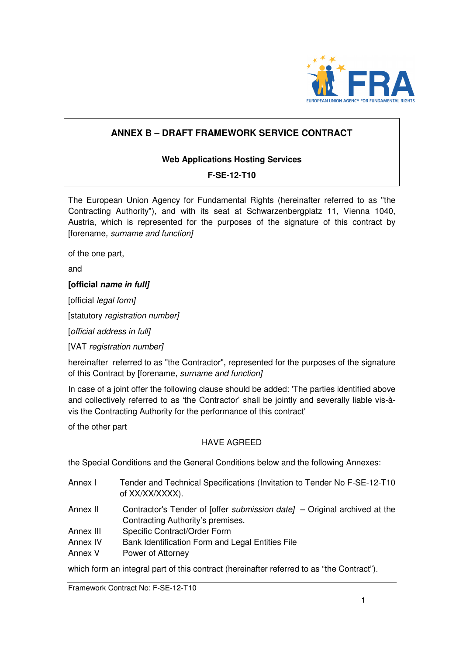

## **ANNEX B – DRAFT FRAMEWORK SERVICE CONTRACT**

## **Web Applications Hosting Services**

## **F-SE-12-T10**

The European Union Agency for Fundamental Rights (hereinafter referred to as "the Contracting Authority"), and with its seat at Schwarzenbergplatz 11, Vienna 1040, Austria, which is represented for the purposes of the signature of this contract by [forename, surname and function]

of the one part,

and

#### **[official name in full]**

[official *legal form]* 

[statutory registration number]

[official address in full]

[VAT registration number]

hereinafter referred to as "the Contractor", represented for the purposes of the signature of this Contract by [forename, surname and function]

In case of a joint offer the following clause should be added: 'The parties identified above and collectively referred to as 'the Contractor' shall be jointly and severally liable vis-àvis the Contracting Authority for the performance of this contract'

of the other part

#### HAVE AGREED

the Special Conditions and the General Conditions below and the following Annexes:

- Annex I Tender and Technical Specifications (Invitation to Tender No F-SE-12-T10 of XX/XX/XXXX).
- Annex II Contractor's Tender of [offer *submission date]* Original archived at the Contracting Authority's premises.
- Annex III Specific Contract/Order Form
- Annex IV Bank Identification Form and Legal Entities File
- Annex V Power of Attorney

which form an integral part of this contract (hereinafter referred to as "the Contract").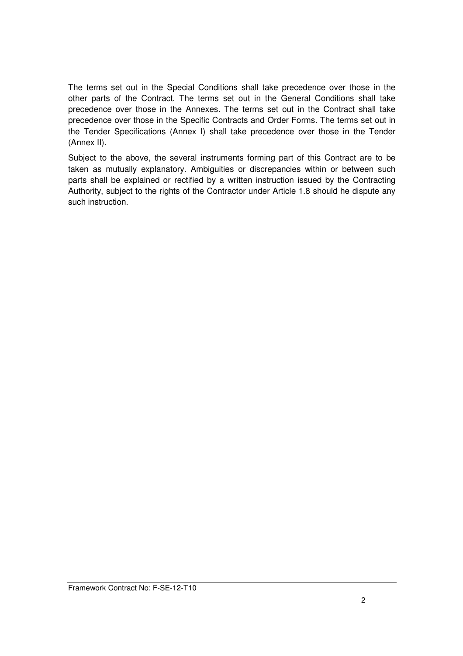The terms set out in the Special Conditions shall take precedence over those in the other parts of the Contract. The terms set out in the General Conditions shall take precedence over those in the Annexes. The terms set out in the Contract shall take precedence over those in the Specific Contracts and Order Forms. The terms set out in the Tender Specifications (Annex I) shall take precedence over those in the Tender (Annex II).

Subject to the above, the several instruments forming part of this Contract are to be taken as mutually explanatory. Ambiguities or discrepancies within or between such parts shall be explained or rectified by a written instruction issued by the Contracting Authority, subject to the rights of the Contractor under Article 1.8 should he dispute any such instruction.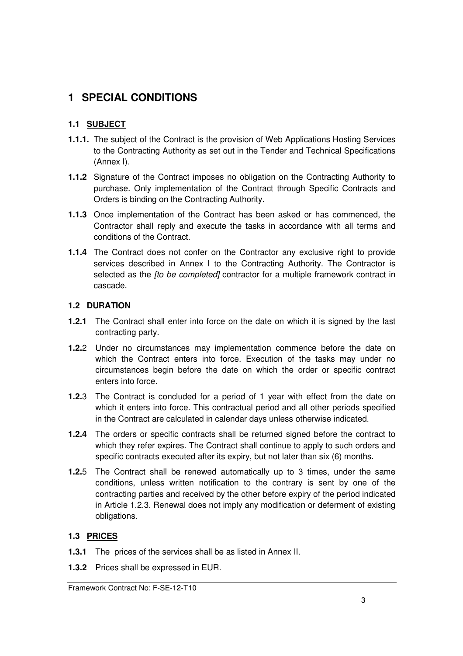# **1 SPECIAL CONDITIONS**

## **1.1 SUBJECT**

- **1.1.1.** The subject of the Contract is the provision of Web Applications Hosting Services to the Contracting Authority as set out in the Tender and Technical Specifications (Annex I).
- **1.1.2** Signature of the Contract imposes no obligation on the Contracting Authority to purchase. Only implementation of the Contract through Specific Contracts and Orders is binding on the Contracting Authority.
- **1.1.3** Once implementation of the Contract has been asked or has commenced, the Contractor shall reply and execute the tasks in accordance with all terms and conditions of the Contract.
- **1.1.4** The Contract does not confer on the Contractor any exclusive right to provide services described in Annex I to the Contracting Authority. The Contractor is selected as the *[to be completed]* contractor for a multiple framework contract in cascade.

## **1.2 DURATION**

- **1.2.1** The Contract shall enter into force on the date on which it is signed by the last contracting party.
- **1.2.**2 Under no circumstances may implementation commence before the date on which the Contract enters into force. Execution of the tasks may under no circumstances begin before the date on which the order or specific contract enters into force.
- **1.2.**3 The Contract is concluded for a period of 1 year with effect from the date on which it enters into force. This contractual period and all other periods specified in the Contract are calculated in calendar days unless otherwise indicated.
- **1.2.4** The orders or specific contracts shall be returned signed before the contract to which they refer expires. The Contract shall continue to apply to such orders and specific contracts executed after its expiry, but not later than six (6) months.
- **1.2.**5 The Contract shall be renewed automatically up to 3 times, under the same conditions, unless written notification to the contrary is sent by one of the contracting parties and received by the other before expiry of the period indicated in Article 1.2.3. Renewal does not imply any modification or deferment of existing obligations.

## **1.3 PRICES**

- **1.3.1** The prices of the services shall be as listed in Annex II.
- **1.3.2** Prices shall be expressed in EUR.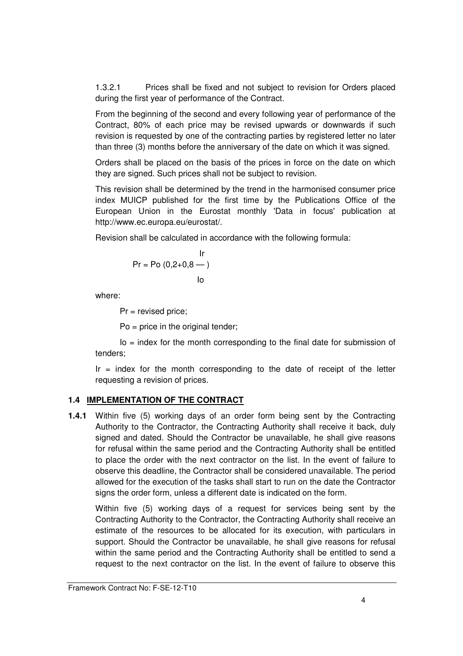1.3.2.1 Prices shall be fixed and not subject to revision for Orders placed during the first year of performance of the Contract.

From the beginning of the second and every following year of performance of the Contract, 80% of each price may be revised upwards or downwards if such revision is requested by one of the contracting parties by registered letter no later than three (3) months before the anniversary of the date on which it was signed.

Orders shall be placed on the basis of the prices in force on the date on which they are signed. Such prices shall not be subject to revision.

This revision shall be determined by the trend in the harmonised consumer price index MUICP published for the first time by the Publications Office of the European Union in the Eurostat monthly 'Data in focus' publication at http://www.ec.europa.eu/eurostat/.

Revision shall be calculated in accordance with the following formula:

$$
Pr = Po (0, 2+0, 8 - )
$$
  
lo

where:

Pr = revised price;

Po = price in the original tender;

 $Io = index$  for the month corresponding to the final date for submission of tenders;

 $Ir = index$  for the month corresponding to the date of receipt of the letter requesting a revision of prices.

## **1.4 IMPLEMENTATION OF THE CONTRACT**

**1.4.1** Within five (5) working days of an order form being sent by the Contracting Authority to the Contractor, the Contracting Authority shall receive it back, duly signed and dated. Should the Contractor be unavailable, he shall give reasons for refusal within the same period and the Contracting Authority shall be entitled to place the order with the next contractor on the list. In the event of failure to observe this deadline, the Contractor shall be considered unavailable. The period allowed for the execution of the tasks shall start to run on the date the Contractor signs the order form, unless a different date is indicated on the form.

Within five (5) working days of a request for services being sent by the Contracting Authority to the Contractor, the Contracting Authority shall receive an estimate of the resources to be allocated for its execution, with particulars in support. Should the Contractor be unavailable, he shall give reasons for refusal within the same period and the Contracting Authority shall be entitled to send a request to the next contractor on the list. In the event of failure to observe this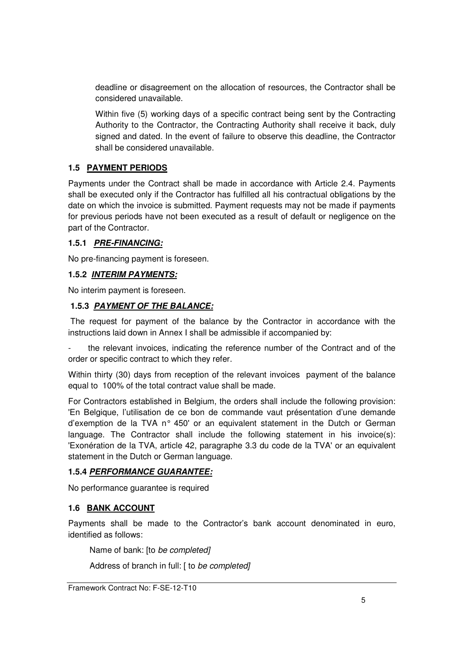deadline or disagreement on the allocation of resources, the Contractor shall be considered unavailable.

Within five (5) working days of a specific contract being sent by the Contracting Authority to the Contractor, the Contracting Authority shall receive it back, duly signed and dated. In the event of failure to observe this deadline, the Contractor shall be considered unavailable.

## **1.5 PAYMENT PERIODS**

Payments under the Contract shall be made in accordance with Article 2.4. Payments shall be executed only if the Contractor has fulfilled all his contractual obligations by the date on which the invoice is submitted. Payment requests may not be made if payments for previous periods have not been executed as a result of default or negligence on the part of the Contractor.

#### **1.5.1 PRE-FINANCING:**

No pre-financing payment is foreseen.

#### **1.5.2 INTERIM PAYMENTS:**

No interim payment is foreseen.

## **1.5.3 PAYMENT OF THE BALANCE:**

 The request for payment of the balance by the Contractor in accordance with the instructions laid down in Annex I shall be admissible if accompanied by:

the relevant invoices, indicating the reference number of the Contract and of the order or specific contract to which they refer.

Within thirty (30) days from reception of the relevant invoices payment of the balance equal to 100% of the total contract value shall be made.

For Contractors established in Belgium, the orders shall include the following provision: 'En Belgique, l'utilisation de ce bon de commande vaut présentation d'une demande d'exemption de la TVA n° 450' or an equivalent statement in the Dutch or German language. The Contractor shall include the following statement in his invoice(s): 'Exonération de la TVA, article 42, paragraphe 3.3 du code de la TVA' or an equivalent statement in the Dutch or German language.

## **1.5.4 PERFORMANCE GUARANTEE:**

No performance guarantee is required

## **1.6 BANK ACCOUNT**

Payments shall be made to the Contractor's bank account denominated in euro, identified as follows:

Name of bank: [to be completed]

Address of branch in full: [ to be completed]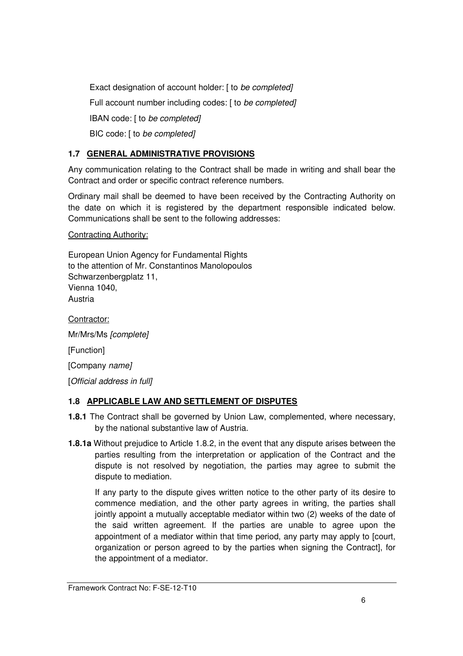Exact designation of account holder: [ to be completed] Full account number including codes: [ to be completed] IBAN code: [ to be completed] BIC code: [ to be completed]

## **1.7 GENERAL ADMINISTRATIVE PROVISIONS**

Any communication relating to the Contract shall be made in writing and shall bear the Contract and order or specific contract reference numbers.

Ordinary mail shall be deemed to have been received by the Contracting Authority on the date on which it is registered by the department responsible indicated below. Communications shall be sent to the following addresses:

Contracting Authority:

European Union Agency for Fundamental Rights to the attention of Mr. Constantinos Manolopoulos Schwarzenbergplatz 11, Vienna 1040, **Austria** 

Contractor:

Mr/Mrs/Ms [complete]

[Function]

[Company name]

[Official address in full]

## **1.8 APPLICABLE LAW AND SETTLEMENT OF DISPUTES**

- **1.8.1** The Contract shall be governed by Union Law, complemented, where necessary, by the national substantive law of Austria.
- **1.8.1a** Without prejudice to Article 1.8.2, in the event that any dispute arises between the parties resulting from the interpretation or application of the Contract and the dispute is not resolved by negotiation, the parties may agree to submit the dispute to mediation.

If any party to the dispute gives written notice to the other party of its desire to commence mediation, and the other party agrees in writing, the parties shall jointly appoint a mutually acceptable mediator within two (2) weeks of the date of the said written agreement. If the parties are unable to agree upon the appointment of a mediator within that time period, any party may apply to [court, organization or person agreed to by the parties when signing the Contract], for the appointment of a mediator.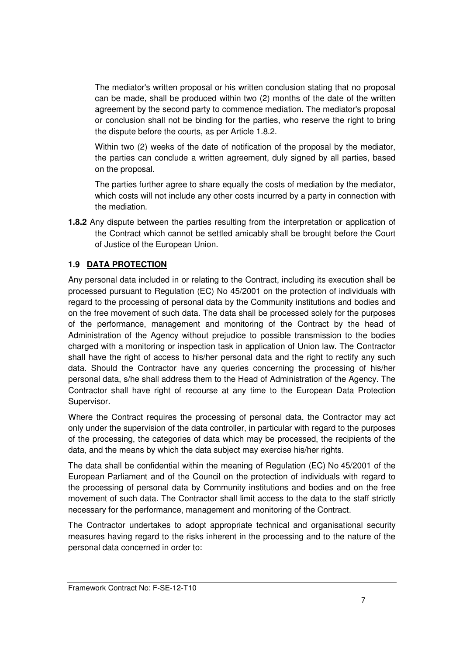The mediator's written proposal or his written conclusion stating that no proposal can be made, shall be produced within two (2) months of the date of the written agreement by the second party to commence mediation. The mediator's proposal or conclusion shall not be binding for the parties, who reserve the right to bring the dispute before the courts, as per Article 1.8.2.

Within two (2) weeks of the date of notification of the proposal by the mediator, the parties can conclude a written agreement, duly signed by all parties, based on the proposal.

The parties further agree to share equally the costs of mediation by the mediator, which costs will not include any other costs incurred by a party in connection with the mediation.

**1.8.2** Any dispute between the parties resulting from the interpretation or application of the Contract which cannot be settled amicably shall be brought before the Court of Justice of the European Union.

## **1.9 DATA PROTECTION**

Any personal data included in or relating to the Contract, including its execution shall be processed pursuant to Regulation (EC) No 45/2001 on the protection of individuals with regard to the processing of personal data by the Community institutions and bodies and on the free movement of such data. The data shall be processed solely for the purposes of the performance, management and monitoring of the Contract by the head of Administration of the Agency without prejudice to possible transmission to the bodies charged with a monitoring or inspection task in application of Union law. The Contractor shall have the right of access to his/her personal data and the right to rectify any such data. Should the Contractor have any queries concerning the processing of his/her personal data, s/he shall address them to the Head of Administration of the Agency. The Contractor shall have right of recourse at any time to the European Data Protection Supervisor.

Where the Contract requires the processing of personal data, the Contractor may act only under the supervision of the data controller, in particular with regard to the purposes of the processing, the categories of data which may be processed, the recipients of the data, and the means by which the data subject may exercise his/her rights.

The data shall be confidential within the meaning of Regulation (EC) No 45/2001 of the European Parliament and of the Council on the protection of individuals with regard to the processing of personal data by Community institutions and bodies and on the free movement of such data. The Contractor shall limit access to the data to the staff strictly necessary for the performance, management and monitoring of the Contract.

The Contractor undertakes to adopt appropriate technical and organisational security measures having regard to the risks inherent in the processing and to the nature of the personal data concerned in order to: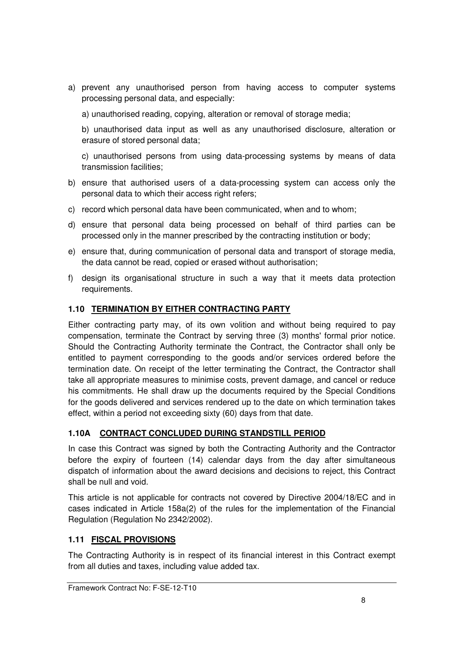a) prevent any unauthorised person from having access to computer systems processing personal data, and especially:

a) unauthorised reading, copying, alteration or removal of storage media;

b) unauthorised data input as well as any unauthorised disclosure, alteration or erasure of stored personal data;

c) unauthorised persons from using data-processing systems by means of data transmission facilities;

- b) ensure that authorised users of a data-processing system can access only the personal data to which their access right refers;
- c) record which personal data have been communicated, when and to whom;
- d) ensure that personal data being processed on behalf of third parties can be processed only in the manner prescribed by the contracting institution or body;
- e) ensure that, during communication of personal data and transport of storage media, the data cannot be read, copied or erased without authorisation;
- f) design its organisational structure in such a way that it meets data protection requirements.

#### **1.10 TERMINATION BY EITHER CONTRACTING PARTY**

Either contracting party may, of its own volition and without being required to pay compensation, terminate the Contract by serving three (3) months' formal prior notice. Should the Contracting Authority terminate the Contract, the Contractor shall only be entitled to payment corresponding to the goods and/or services ordered before the termination date. On receipt of the letter terminating the Contract, the Contractor shall take all appropriate measures to minimise costs, prevent damage, and cancel or reduce his commitments. He shall draw up the documents required by the Special Conditions for the goods delivered and services rendered up to the date on which termination takes effect, within a period not exceeding sixty (60) days from that date.

## **1.10A CONTRACT CONCLUDED DURING STANDSTILL PERIOD**

In case this Contract was signed by both the Contracting Authority and the Contractor before the expiry of fourteen (14) calendar days from the day after simultaneous dispatch of information about the award decisions and decisions to reject, this Contract shall be null and void.

This article is not applicable for contracts not covered by Directive 2004/18/EC and in cases indicated in Article 158a(2) of the rules for the implementation of the Financial Regulation (Regulation No 2342/2002).

## **1.11 FISCAL PROVISIONS**

The Contracting Authority is in respect of its financial interest in this Contract exempt from all duties and taxes, including value added tax.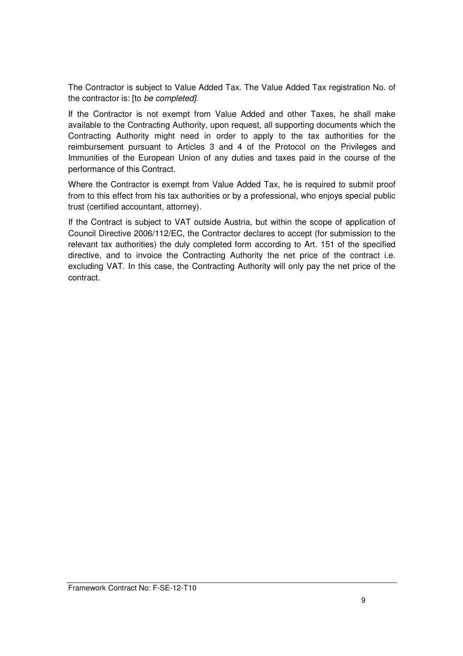The Contractor is subject to Value Added Tax. The Value Added Tax registration No. of the contractor is: [to be completed].

If the Contractor is not exempt from Value Added and other Taxes, he shall make available to the Contracting Authority, upon request, all supporting documents which the Contracting Authority might need in order to apply to the tax authorities for the reimbursement pursuant to Articles 3 and 4 of the Protocol on the Privileges and Immunities of the European Union of any duties and taxes paid in the course of the performance of this Contract.

Where the Contractor is exempt from Value Added Tax, he is required to submit proof from to this effect from his tax authorities or by a professional, who enjoys special public trust (certified accountant, attorney).

If the Contract is subject to VAT outside Austria, but within the scope of application of Council Directive 2006/112/EC, the Contractor declares to accept (for submission to the relevant tax authorities) the duly completed form according to Art. 151 of the specified directive, and to invoice the Contracting Authority the net price of the contract i.e. excluding VAT. In this case, the Contracting Authority will only pay the net price of the contract.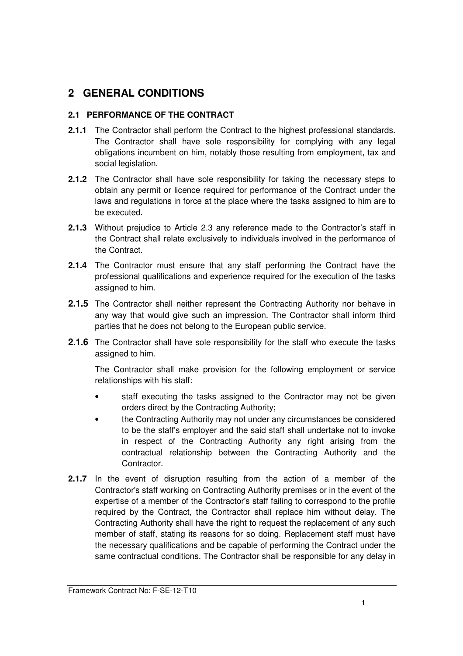# **2 GENERAL CONDITIONS**

## **2.1 PERFORMANCE OF THE CONTRACT**

- **2.1.1** The Contractor shall perform the Contract to the highest professional standards. The Contractor shall have sole responsibility for complying with any legal obligations incumbent on him, notably those resulting from employment, tax and social legislation.
- **2.1.2** The Contractor shall have sole responsibility for taking the necessary steps to obtain any permit or licence required for performance of the Contract under the laws and regulations in force at the place where the tasks assigned to him are to be executed.
- **2.1.3** Without prejudice to Article 2.3 any reference made to the Contractor's staff in the Contract shall relate exclusively to individuals involved in the performance of the Contract.
- **2.1.4** The Contractor must ensure that any staff performing the Contract have the professional qualifications and experience required for the execution of the tasks assigned to him.
- **2.1.5** The Contractor shall neither represent the Contracting Authority nor behave in any way that would give such an impression. The Contractor shall inform third parties that he does not belong to the European public service.
- **2.1.6** The Contractor shall have sole responsibility for the staff who execute the tasks assigned to him.

The Contractor shall make provision for the following employment or service relationships with his staff:

- staff executing the tasks assigned to the Contractor may not be given orders direct by the Contracting Authority;
- the Contracting Authority may not under any circumstances be considered to be the staff's employer and the said staff shall undertake not to invoke in respect of the Contracting Authority any right arising from the contractual relationship between the Contracting Authority and the Contractor.
- **2.1.7** In the event of disruption resulting from the action of a member of the Contractor's staff working on Contracting Authority premises or in the event of the expertise of a member of the Contractor's staff failing to correspond to the profile required by the Contract, the Contractor shall replace him without delay. The Contracting Authority shall have the right to request the replacement of any such member of staff, stating its reasons for so doing. Replacement staff must have the necessary qualifications and be capable of performing the Contract under the same contractual conditions. The Contractor shall be responsible for any delay in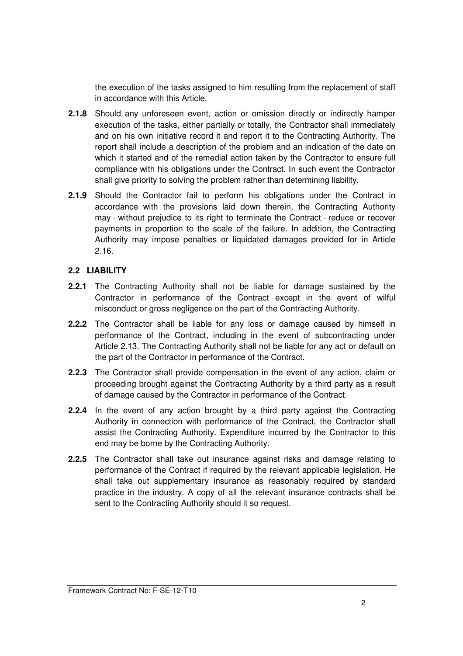the execution of the tasks assigned to him resulting from the replacement of staff in accordance with this Article.

- **2.1.8** Should any unforeseen event, action or omission directly or indirectly hamper execution of the tasks, either partially or totally, the Contractor shall immediately and on his own initiative record it and report it to the Contracting Authority. The report shall include a description of the problem and an indication of the date on which it started and of the remedial action taken by the Contractor to ensure full compliance with his obligations under the Contract. In such event the Contractor shall give priority to solving the problem rather than determining liability.
- **2.1.9** Should the Contractor fail to perform his obligations under the Contract in accordance with the provisions laid down therein, the Contracting Authority may - without prejudice to its right to terminate the Contract - reduce or recover payments in proportion to the scale of the failure. In addition, the Contracting Authority may impose penalties or liquidated damages provided for in Article 2.16.

## **2.2 LIABILITY**

- **2.2.1** The Contracting Authority shall not be liable for damage sustained by the Contractor in performance of the Contract except in the event of wilful misconduct or gross negligence on the part of the Contracting Authority.
- **2.2.2** The Contractor shall be liable for any loss or damage caused by himself in performance of the Contract, including in the event of subcontracting under Article 2.13. The Contracting Authority shall not be liable for any act or default on the part of the Contractor in performance of the Contract.
- **2.2.3** The Contractor shall provide compensation in the event of any action, claim or proceeding brought against the Contracting Authority by a third party as a result of damage caused by the Contractor in performance of the Contract.
- **2.2.4** In the event of any action brought by a third party against the Contracting Authority in connection with performance of the Contract, the Contractor shall assist the Contracting Authority. Expenditure incurred by the Contractor to this end may be borne by the Contracting Authority.
- **2.2.5** The Contractor shall take out insurance against risks and damage relating to performance of the Contract if required by the relevant applicable legislation. He shall take out supplementary insurance as reasonably required by standard practice in the industry. A copy of all the relevant insurance contracts shall be sent to the Contracting Authority should it so request.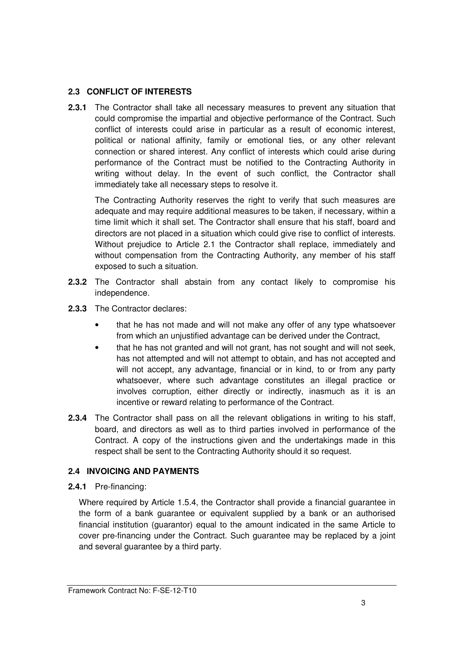## **2.3 CONFLICT OF INTERESTS**

**2.3.1** The Contractor shall take all necessary measures to prevent any situation that could compromise the impartial and objective performance of the Contract. Such conflict of interests could arise in particular as a result of economic interest, political or national affinity, family or emotional ties, or any other relevant connection or shared interest. Any conflict of interests which could arise during performance of the Contract must be notified to the Contracting Authority in writing without delay. In the event of such conflict, the Contractor shall immediately take all necessary steps to resolve it.

 The Contracting Authority reserves the right to verify that such measures are adequate and may require additional measures to be taken, if necessary, within a time limit which it shall set. The Contractor shall ensure that his staff, board and directors are not placed in a situation which could give rise to conflict of interests. Without prejudice to Article 2.1 the Contractor shall replace, immediately and without compensation from the Contracting Authority, any member of his staff exposed to such a situation.

- **2.3.2** The Contractor shall abstain from any contact likely to compromise his independence.
- **2.3.3** The Contractor declares:
	- that he has not made and will not make any offer of any type whatsoever from which an unjustified advantage can be derived under the Contract,
	- that he has not granted and will not grant, has not sought and will not seek, has not attempted and will not attempt to obtain, and has not accepted and will not accept, any advantage, financial or in kind, to or from any party whatsoever, where such advantage constitutes an illegal practice or involves corruption, either directly or indirectly, inasmuch as it is an incentive or reward relating to performance of the Contract.
- **2.3.4** The Contractor shall pass on all the relevant obligations in writing to his staff, board, and directors as well as to third parties involved in performance of the Contract. A copy of the instructions given and the undertakings made in this respect shall be sent to the Contracting Authority should it so request.

## **2.4 INVOICING AND PAYMENTS**

**2.4.1** Pre-financing:

Where required by Article 1.5.4, the Contractor shall provide a financial guarantee in the form of a bank guarantee or equivalent supplied by a bank or an authorised financial institution (guarantor) equal to the amount indicated in the same Article to cover pre-financing under the Contract. Such guarantee may be replaced by a joint and several guarantee by a third party.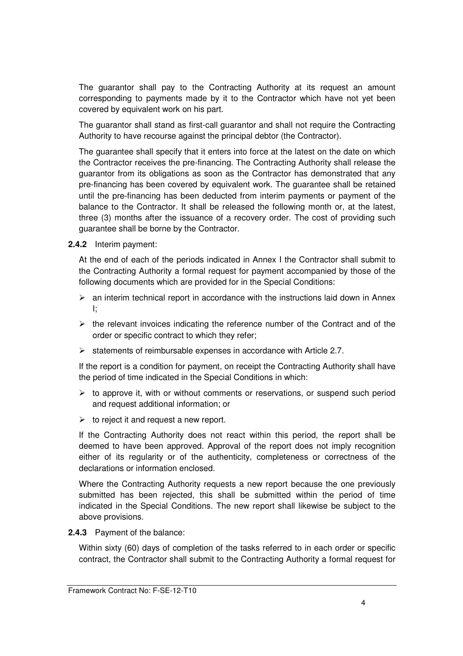The guarantor shall pay to the Contracting Authority at its request an amount corresponding to payments made by it to the Contractor which have not yet been covered by equivalent work on his part.

The guarantor shall stand as first-call guarantor and shall not require the Contracting Authority to have recourse against the principal debtor (the Contractor).

The guarantee shall specify that it enters into force at the latest on the date on which the Contractor receives the pre-financing. The Contracting Authority shall release the guarantor from its obligations as soon as the Contractor has demonstrated that any pre-financing has been covered by equivalent work. The guarantee shall be retained until the pre-financing has been deducted from interim payments or payment of the balance to the Contractor. It shall be released the following month or, at the latest, three (3) months after the issuance of a recovery order. The cost of providing such guarantee shall be borne by the Contractor.

**2.4.2** Interim payment:

At the end of each of the periods indicated in Annex I the Contractor shall submit to the Contracting Authority a formal request for payment accompanied by those of the following documents which are provided for in the Special Conditions:

- $\triangleright$  an interim technical report in accordance with the instructions laid down in Annex I;
- $\triangleright$  the relevant invoices indicating the reference number of the Contract and of the order or specific contract to which they refer;
- $\triangleright$  statements of reimbursable expenses in accordance with Article 2.7.

If the report is a condition for payment, on receipt the Contracting Authority shall have the period of time indicated in the Special Conditions in which:

- $\triangleright$  to approve it, with or without comments or reservations, or suspend such period and request additional information; or
- $\triangleright$  to reject it and request a new report.

If the Contracting Authority does not react within this period, the report shall be deemed to have been approved. Approval of the report does not imply recognition either of its regularity or of the authenticity, completeness or correctness of the declarations or information enclosed.

Where the Contracting Authority requests a new report because the one previously submitted has been rejected, this shall be submitted within the period of time indicated in the Special Conditions. The new report shall likewise be subject to the above provisions.

**2.4.3** Payment of the balance:

Within sixty (60) days of completion of the tasks referred to in each order or specific contract, the Contractor shall submit to the Contracting Authority a formal request for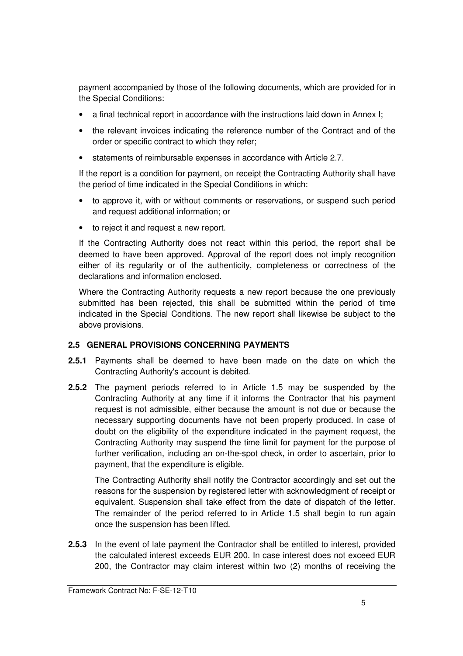payment accompanied by those of the following documents, which are provided for in the Special Conditions:

- a final technical report in accordance with the instructions laid down in Annex I;
- the relevant invoices indicating the reference number of the Contract and of the order or specific contract to which they refer;
- statements of reimbursable expenses in accordance with Article 2.7.

If the report is a condition for payment, on receipt the Contracting Authority shall have the period of time indicated in the Special Conditions in which:

- to approve it, with or without comments or reservations, or suspend such period and request additional information; or
- to reject it and request a new report.

If the Contracting Authority does not react within this period, the report shall be deemed to have been approved. Approval of the report does not imply recognition either of its regularity or of the authenticity, completeness or correctness of the declarations and information enclosed.

Where the Contracting Authority requests a new report because the one previously submitted has been rejected, this shall be submitted within the period of time indicated in the Special Conditions. The new report shall likewise be subject to the above provisions.

## **2.5 GENERAL PROVISIONS CONCERNING PAYMENTS**

- **2.5.1** Payments shall be deemed to have been made on the date on which the Contracting Authority's account is debited.
- **2.5.2** The payment periods referred to in Article 1.5 may be suspended by the Contracting Authority at any time if it informs the Contractor that his payment request is not admissible, either because the amount is not due or because the necessary supporting documents have not been properly produced. In case of doubt on the eligibility of the expenditure indicated in the payment request, the Contracting Authority may suspend the time limit for payment for the purpose of further verification, including an on-the-spot check, in order to ascertain, prior to payment, that the expenditure is eligible.

The Contracting Authority shall notify the Contractor accordingly and set out the reasons for the suspension by registered letter with acknowledgment of receipt or equivalent. Suspension shall take effect from the date of dispatch of the letter. The remainder of the period referred to in Article 1.5 shall begin to run again once the suspension has been lifted.

**2.5.3** In the event of late payment the Contractor shall be entitled to interest, provided the calculated interest exceeds EUR 200. In case interest does not exceed EUR 200, the Contractor may claim interest within two (2) months of receiving the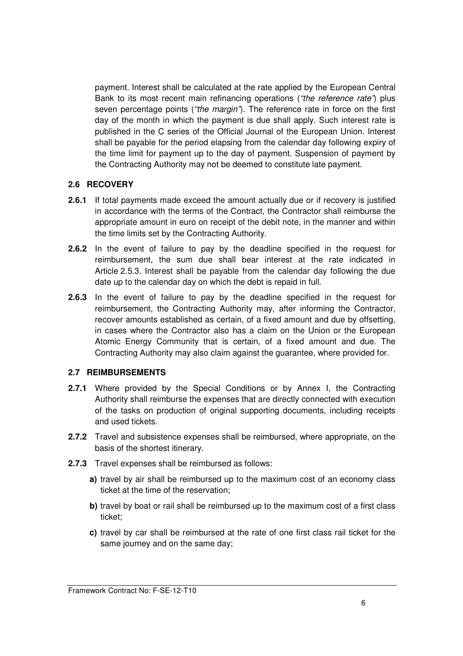payment. Interest shall be calculated at the rate applied by the European Central Bank to its most recent main refinancing operations ("the reference rate") plus seven percentage points ("the margin"). The reference rate in force on the first day of the month in which the payment is due shall apply. Such interest rate is published in the C series of the Official Journal of the European Union. Interest shall be payable for the period elapsing from the calendar day following expiry of the time limit for payment up to the day of payment. Suspension of payment by the Contracting Authority may not be deemed to constitute late payment.

#### **2.6 RECOVERY**

- **2.6.1** If total payments made exceed the amount actually due or if recovery is justified in accordance with the terms of the Contract, the Contractor shall reimburse the appropriate amount in euro on receipt of the debit note, in the manner and within the time limits set by the Contracting Authority.
- **2.6.2** In the event of failure to pay by the deadline specified in the request for reimbursement, the sum due shall bear interest at the rate indicated in Article 2.5.3. Interest shall be payable from the calendar day following the due date up to the calendar day on which the debt is repaid in full.
- **2.6.3** In the event of failure to pay by the deadline specified in the request for reimbursement, the Contracting Authority may, after informing the Contractor, recover amounts established as certain, of a fixed amount and due by offsetting, in cases where the Contractor also has a claim on the Union or the European Atomic Energy Community that is certain, of a fixed amount and due. The Contracting Authority may also claim against the guarantee, where provided for.

#### **2.7 REIMBURSEMENTS**

- **2.7.1** Where provided by the Special Conditions or by Annex I, the Contracting Authority shall reimburse the expenses that are directly connected with execution of the tasks on production of original supporting documents, including receipts and used tickets.
- **2.7.2** Travel and subsistence expenses shall be reimbursed, where appropriate, on the basis of the shortest itinerary.
- **2.7.3** Travel expenses shall be reimbursed as follows:
	- **a)** travel by air shall be reimbursed up to the maximum cost of an economy class ticket at the time of the reservation;
	- **b)** travel by boat or rail shall be reimbursed up to the maximum cost of a first class ticket;
	- **c)** travel by car shall be reimbursed at the rate of one first class rail ticket for the same journey and on the same day;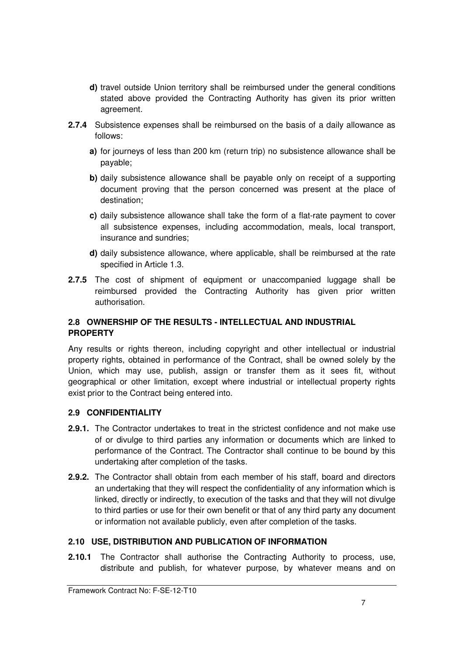- **d)** travel outside Union territory shall be reimbursed under the general conditions stated above provided the Contracting Authority has given its prior written agreement.
- **2.7.4** Subsistence expenses shall be reimbursed on the basis of a daily allowance as follows:
	- **a)** for journeys of less than 200 km (return trip) no subsistence allowance shall be payable;
	- **b)** daily subsistence allowance shall be payable only on receipt of a supporting document proving that the person concerned was present at the place of destination;
	- **c)** daily subsistence allowance shall take the form of a flat-rate payment to cover all subsistence expenses, including accommodation, meals, local transport, insurance and sundries;
	- **d)** daily subsistence allowance, where applicable, shall be reimbursed at the rate specified in Article 1.3.
- **2.7.5** The cost of shipment of equipment or unaccompanied luggage shall be reimbursed provided the Contracting Authority has given prior written authorisation.

## **2.8 OWNERSHIP OF THE RESULTS - INTELLECTUAL AND INDUSTRIAL PROPERTY**

Any results or rights thereon, including copyright and other intellectual or industrial property rights, obtained in performance of the Contract, shall be owned solely by the Union, which may use, publish, assign or transfer them as it sees fit, without geographical or other limitation, except where industrial or intellectual property rights exist prior to the Contract being entered into.

## **2.9 CONFIDENTIALITY**

- **2.9.1.** The Contractor undertakes to treat in the strictest confidence and not make use of or divulge to third parties any information or documents which are linked to performance of the Contract. The Contractor shall continue to be bound by this undertaking after completion of the tasks.
- **2.9.2.** The Contractor shall obtain from each member of his staff, board and directors an undertaking that they will respect the confidentiality of any information which is linked, directly or indirectly, to execution of the tasks and that they will not divulge to third parties or use for their own benefit or that of any third party any document or information not available publicly, even after completion of the tasks.

## **2.10 USE, DISTRIBUTION AND PUBLICATION OF INFORMATION**

**2.10.1** The Contractor shall authorise the Contracting Authority to process, use, distribute and publish, for whatever purpose, by whatever means and on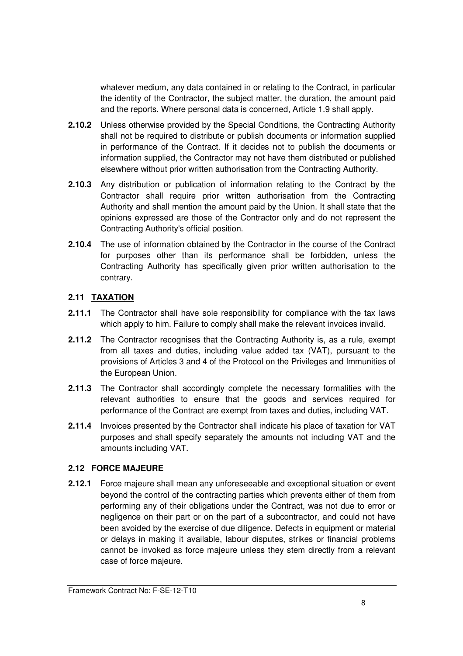whatever medium, any data contained in or relating to the Contract, in particular the identity of the Contractor, the subject matter, the duration, the amount paid and the reports. Where personal data is concerned, Article 1.9 shall apply.

- **2.10.2** Unless otherwise provided by the Special Conditions, the Contracting Authority shall not be required to distribute or publish documents or information supplied in performance of the Contract. If it decides not to publish the documents or information supplied, the Contractor may not have them distributed or published elsewhere without prior written authorisation from the Contracting Authority.
- **2.10.3** Any distribution or publication of information relating to the Contract by the Contractor shall require prior written authorisation from the Contracting Authority and shall mention the amount paid by the Union. It shall state that the opinions expressed are those of the Contractor only and do not represent the Contracting Authority's official position.
- **2.10.4** The use of information obtained by the Contractor in the course of the Contract for purposes other than its performance shall be forbidden, unless the Contracting Authority has specifically given prior written authorisation to the contrary.

## **2.11 TAXATION**

- **2.11.1** The Contractor shall have sole responsibility for compliance with the tax laws which apply to him. Failure to comply shall make the relevant invoices invalid.
- **2.11.2** The Contractor recognises that the Contracting Authority is, as a rule, exempt from all taxes and duties, including value added tax (VAT), pursuant to the provisions of Articles 3 and 4 of the Protocol on the Privileges and Immunities of the European Union.
- **2.11.3** The Contractor shall accordingly complete the necessary formalities with the relevant authorities to ensure that the goods and services required for performance of the Contract are exempt from taxes and duties, including VAT.
- **2.11.4** Invoices presented by the Contractor shall indicate his place of taxation for VAT purposes and shall specify separately the amounts not including VAT and the amounts including VAT.

## **2.12 FORCE MAJEURE**

**2.12.1** Force majeure shall mean any unforeseeable and exceptional situation or event beyond the control of the contracting parties which prevents either of them from performing any of their obligations under the Contract, was not due to error or negligence on their part or on the part of a subcontractor, and could not have been avoided by the exercise of due diligence. Defects in equipment or material or delays in making it available, labour disputes, strikes or financial problems cannot be invoked as force majeure unless they stem directly from a relevant case of force majeure.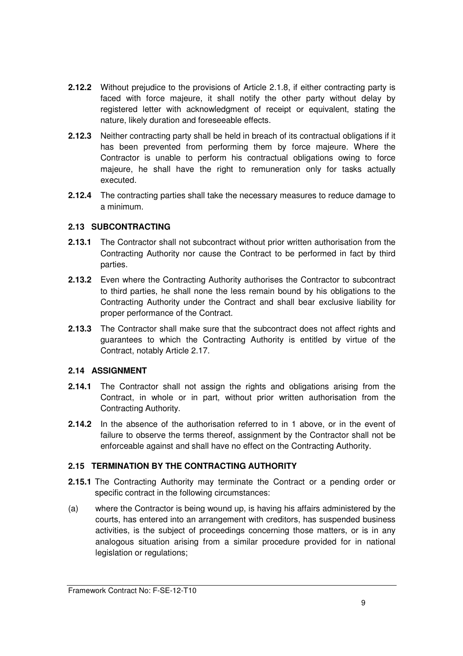- **2.12.2** Without prejudice to the provisions of Article 2.1.8, if either contracting party is faced with force majeure, it shall notify the other party without delay by registered letter with acknowledgment of receipt or equivalent, stating the nature, likely duration and foreseeable effects.
- **2.12.3** Neither contracting party shall be held in breach of its contractual obligations if it has been prevented from performing them by force majeure. Where the Contractor is unable to perform his contractual obligations owing to force majeure, he shall have the right to remuneration only for tasks actually executed.
- **2.12.4** The contracting parties shall take the necessary measures to reduce damage to a minimum.

## **2.13 SUBCONTRACTING**

- **2.13.1** The Contractor shall not subcontract without prior written authorisation from the Contracting Authority nor cause the Contract to be performed in fact by third parties.
- **2.13.2** Even where the Contracting Authority authorises the Contractor to subcontract to third parties, he shall none the less remain bound by his obligations to the Contracting Authority under the Contract and shall bear exclusive liability for proper performance of the Contract.
- **2.13.3** The Contractor shall make sure that the subcontract does not affect rights and guarantees to which the Contracting Authority is entitled by virtue of the Contract, notably Article 2.17.

## **2.14 ASSIGNMENT**

- **2.14.1** The Contractor shall not assign the rights and obligations arising from the Contract, in whole or in part, without prior written authorisation from the Contracting Authority.
- **2.14.2** In the absence of the authorisation referred to in 1 above, or in the event of failure to observe the terms thereof, assignment by the Contractor shall not be enforceable against and shall have no effect on the Contracting Authority.

## **2.15 TERMINATION BY THE CONTRACTING AUTHORITY**

- **2.15.1** The Contracting Authority may terminate the Contract or a pending order or specific contract in the following circumstances:
- (a) where the Contractor is being wound up, is having his affairs administered by the courts, has entered into an arrangement with creditors, has suspended business activities, is the subject of proceedings concerning those matters, or is in any analogous situation arising from a similar procedure provided for in national legislation or regulations;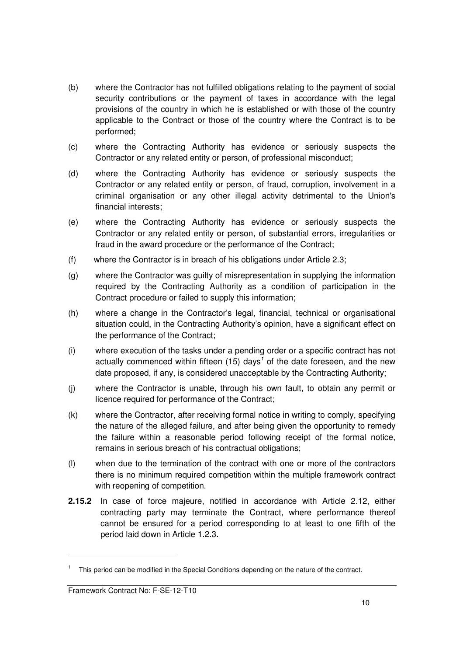- (b) where the Contractor has not fulfilled obligations relating to the payment of social security contributions or the payment of taxes in accordance with the legal provisions of the country in which he is established or with those of the country applicable to the Contract or those of the country where the Contract is to be performed;
- (c) where the Contracting Authority has evidence or seriously suspects the Contractor or any related entity or person, of professional misconduct;
- (d) where the Contracting Authority has evidence or seriously suspects the Contractor or any related entity or person, of fraud, corruption, involvement in a criminal organisation or any other illegal activity detrimental to the Union's financial interests;
- (e) where the Contracting Authority has evidence or seriously suspects the Contractor or any related entity or person, of substantial errors, irregularities or fraud in the award procedure or the performance of the Contract;
- (f) where the Contractor is in breach of his obligations under Article 2.3;
- (g) where the Contractor was guilty of misrepresentation in supplying the information required by the Contracting Authority as a condition of participation in the Contract procedure or failed to supply this information;
- (h) where a change in the Contractor's legal, financial, technical or organisational situation could, in the Contracting Authority's opinion, have a significant effect on the performance of the Contract;
- (i) where execution of the tasks under a pending order or a specific contract has not actually commenced within fifteen (15) days<sup>1</sup> of the date foreseen, and the new date proposed, if any, is considered unacceptable by the Contracting Authority;
- (j) where the Contractor is unable, through his own fault, to obtain any permit or licence required for performance of the Contract;
- (k) where the Contractor, after receiving formal notice in writing to comply, specifying the nature of the alleged failure, and after being given the opportunity to remedy the failure within a reasonable period following receipt of the formal notice, remains in serious breach of his contractual obligations;
- (l) when due to the termination of the contract with one or more of the contractors there is no minimum required competition within the multiple framework contract with reopening of competition.
- **2.15.2** In case of force majeure, notified in accordance with Article 2.12, either contracting party may terminate the Contract, where performance thereof cannot be ensured for a period corresponding to at least to one fifth of the period laid down in Article 1.2.3.

-

<sup>&</sup>lt;sup>1</sup> This period can be modified in the Special Conditions depending on the nature of the contract.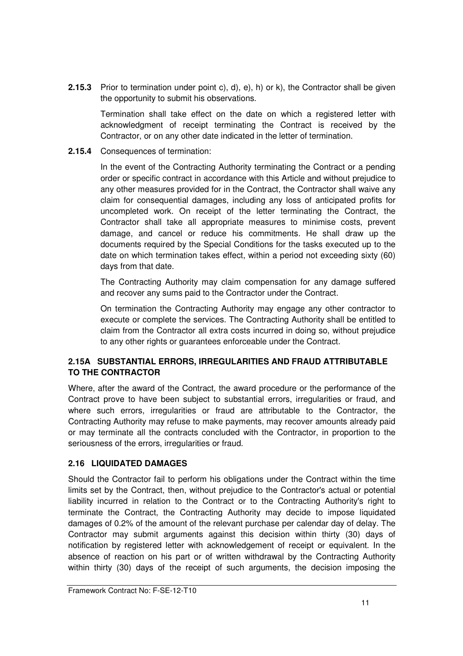**2.15.3** Prior to termination under point c), d), e), h) or k), the Contractor shall be given the opportunity to submit his observations.

Termination shall take effect on the date on which a registered letter with acknowledgment of receipt terminating the Contract is received by the Contractor, or on any other date indicated in the letter of termination.

**2.15.4** Consequences of termination:

In the event of the Contracting Authority terminating the Contract or a pending order or specific contract in accordance with this Article and without prejudice to any other measures provided for in the Contract, the Contractor shall waive any claim for consequential damages, including any loss of anticipated profits for uncompleted work. On receipt of the letter terminating the Contract, the Contractor shall take all appropriate measures to minimise costs, prevent damage, and cancel or reduce his commitments. He shall draw up the documents required by the Special Conditions for the tasks executed up to the date on which termination takes effect, within a period not exceeding sixty (60) days from that date.

The Contracting Authority may claim compensation for any damage suffered and recover any sums paid to the Contractor under the Contract.

On termination the Contracting Authority may engage any other contractor to execute or complete the services. The Contracting Authority shall be entitled to claim from the Contractor all extra costs incurred in doing so, without prejudice to any other rights or guarantees enforceable under the Contract.

## **2.15A SUBSTANTIAL ERRORS, IRREGULARITIES AND FRAUD ATTRIBUTABLE TO THE CONTRACTOR**

Where, after the award of the Contract, the award procedure or the performance of the Contract prove to have been subject to substantial errors, irregularities or fraud, and where such errors, irregularities or fraud are attributable to the Contractor, the Contracting Authority may refuse to make payments, may recover amounts already paid or may terminate all the contracts concluded with the Contractor, in proportion to the seriousness of the errors, irregularities or fraud.

## **2.16 LIQUIDATED DAMAGES**

Should the Contractor fail to perform his obligations under the Contract within the time limits set by the Contract, then, without prejudice to the Contractor's actual or potential liability incurred in relation to the Contract or to the Contracting Authority's right to terminate the Contract, the Contracting Authority may decide to impose liquidated damages of 0.2% of the amount of the relevant purchase per calendar day of delay. The Contractor may submit arguments against this decision within thirty (30) days of notification by registered letter with acknowledgement of receipt or equivalent. In the absence of reaction on his part or of written withdrawal by the Contracting Authority within thirty (30) days of the receipt of such arguments, the decision imposing the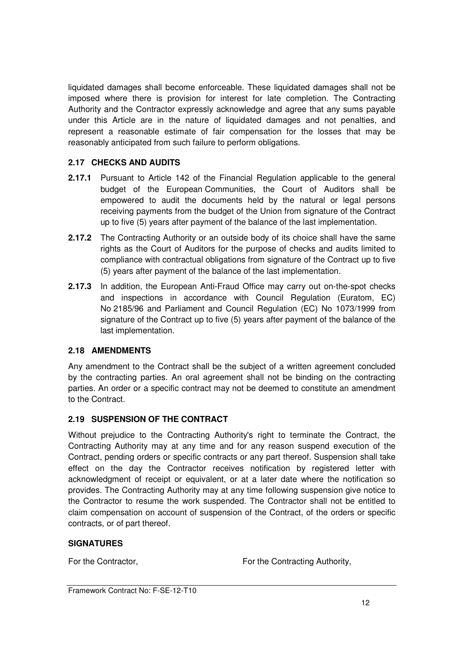liquidated damages shall become enforceable. These liquidated damages shall not be imposed where there is provision for interest for late completion. The Contracting Authority and the Contractor expressly acknowledge and agree that any sums payable under this Article are in the nature of liquidated damages and not penalties, and represent a reasonable estimate of fair compensation for the losses that may be reasonably anticipated from such failure to perform obligations.

## **2.17 CHECKS AND AUDITS**

- **2.17.1** Pursuant to Article 142 of the Financial Regulation applicable to the general budget of the European Communities, the Court of Auditors shall be empowered to audit the documents held by the natural or legal persons receiving payments from the budget of the Union from signature of the Contract up to five (5) years after payment of the balance of the last implementation.
- **2.17.2** The Contracting Authority or an outside body of its choice shall have the same rights as the Court of Auditors for the purpose of checks and audits limited to compliance with contractual obligations from signature of the Contract up to five (5) years after payment of the balance of the last implementation.
- **2.17.3** In addition, the European Anti-Fraud Office may carry out on-the-spot checks and inspections in accordance with Council Regulation (Euratom, EC) No 2185/96 and Parliament and Council Regulation (EC) No 1073/1999 from signature of the Contract up to five (5) years after payment of the balance of the last implementation.

## **2.18 AMENDMENTS**

Any amendment to the Contract shall be the subject of a written agreement concluded by the contracting parties. An oral agreement shall not be binding on the contracting parties. An order or a specific contract may not be deemed to constitute an amendment to the Contract.

## **2.19 SUSPENSION OF THE CONTRACT**

Without prejudice to the Contracting Authority's right to terminate the Contract, the Contracting Authority may at any time and for any reason suspend execution of the Contract, pending orders or specific contracts or any part thereof. Suspension shall take effect on the day the Contractor receives notification by registered letter with acknowledgment of receipt or equivalent, or at a later date where the notification so provides. The Contracting Authority may at any time following suspension give notice to the Contractor to resume the work suspended. The Contractor shall not be entitled to claim compensation on account of suspension of the Contract, of the orders or specific contracts, or of part thereof.

## **SIGNATURES**

For the Contractor, **For the Contracting Authority,** For the Contracting Authority,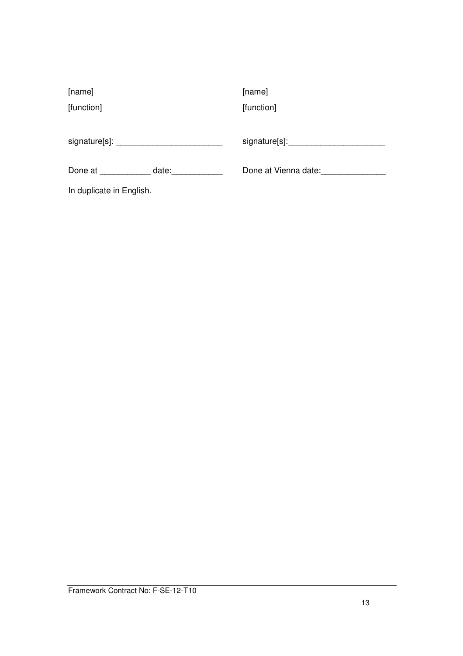| [name]                                                                                                                                                                                                                         |       | [name]               |
|--------------------------------------------------------------------------------------------------------------------------------------------------------------------------------------------------------------------------------|-------|----------------------|
| [function]                                                                                                                                                                                                                     |       | [function]           |
|                                                                                                                                                                                                                                |       |                      |
| signature[s]: Note that the state of the state of the state of the state of the state of the state of the state of the state of the state of the state of the state of the state of the state of the state of the state of the |       | signature[s]:        |
| Done at the state of the state of the state of the state of the state of the state of the state of the state o                                                                                                                 | date: | Done at Vienna date: |
| In duplicate in English.                                                                                                                                                                                                       |       |                      |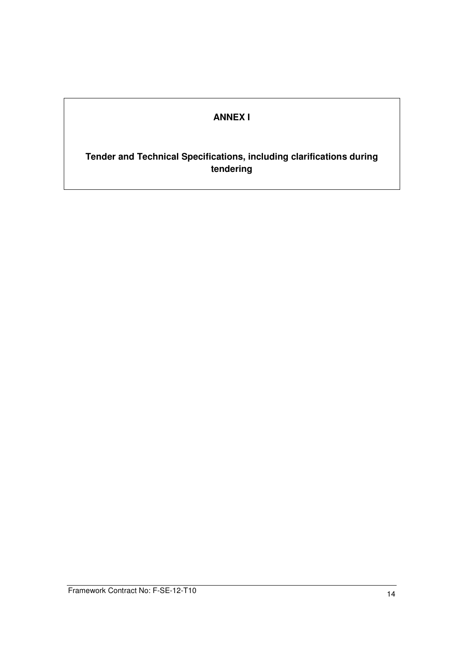# **ANNEX I**

## **Tender and Technical Specifications, including clarifications during tendering**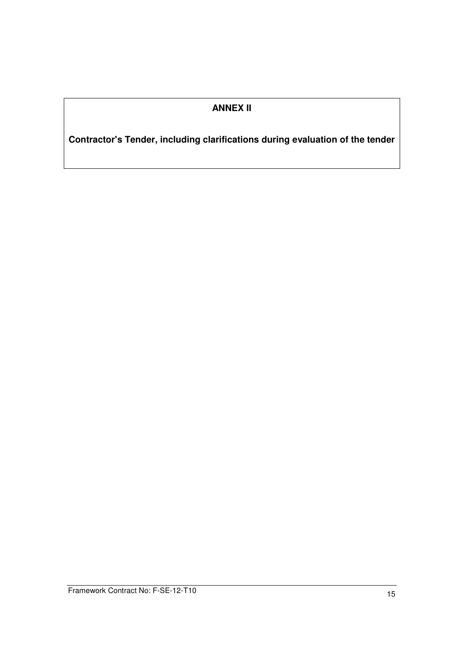# **ANNEX II**

**Contractor's Tender, including clarifications during evaluation of the tender**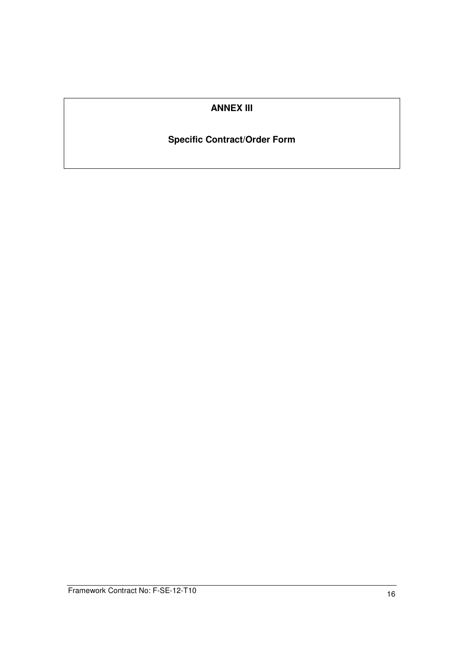## **ANNEX III**

# **Specific Contract/Order Form**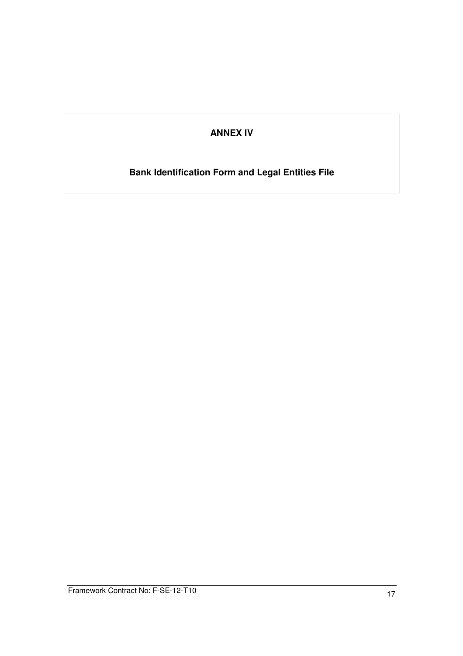## **ANNEX IV**

# **Bank Identification Form and Legal Entities File**